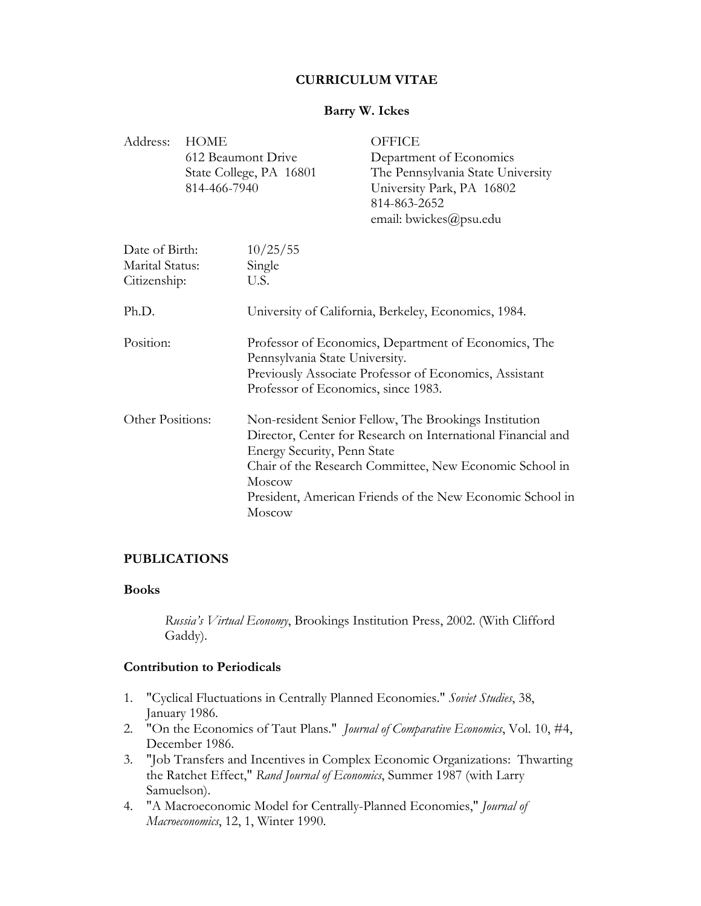# **CURRICULUM VITAE**

# **Barry W. Ickes**

| Address:                                          | <b>HOME</b><br>814-466-7940 | 612 Beaumont Drive<br>State College, PA 16801                                                                                                                                                                                                                                                    | <b>OFFICE</b><br>Department of Economics<br>The Pennsylvania State University<br>University Park, PA 16802<br>814-863-2652<br>email: bwickes@psu.edu |
|---------------------------------------------------|-----------------------------|--------------------------------------------------------------------------------------------------------------------------------------------------------------------------------------------------------------------------------------------------------------------------------------------------|------------------------------------------------------------------------------------------------------------------------------------------------------|
| Date of Birth:<br>Marital Status:<br>Citizenship: |                             | 10/25/55<br>Single<br>U.S.                                                                                                                                                                                                                                                                       |                                                                                                                                                      |
| Ph.D.                                             |                             | University of California, Berkeley, Economics, 1984.                                                                                                                                                                                                                                             |                                                                                                                                                      |
| Position:                                         |                             | Professor of Economics, Department of Economics, The<br>Pennsylvania State University.<br>Previously Associate Professor of Economics, Assistant<br>Professor of Economics, since 1983.                                                                                                          |                                                                                                                                                      |
| Other Positions:                                  |                             | Non-resident Senior Fellow, The Brookings Institution<br>Director, Center for Research on International Financial and<br>Energy Security, Penn State<br>Chair of the Research Committee, New Economic School in<br>Moscow<br>President, American Friends of the New Economic School in<br>Moscow |                                                                                                                                                      |

# **PUBLICATIONS**

# **Books**

*Russia's Virtual Economy*, Brookings Institution Press, 2002. (With Clifford Gaddy).

# **Contribution to Periodicals**

- 1. "Cyclical Fluctuations in Centrally Planned Economies." *Soviet Studies*, 38, January 1986.
- 2. "On the Economics of Taut Plans." *Journal of Comparative Economics*, Vol. 10, #4, December 1986.
- 3. "Job Transfers and Incentives in Complex Economic Organizations: Thwarting the Ratchet Effect," *Rand Journal of Economics*, Summer 1987 (with Larry Samuelson).
- 4. "A Macroeconomic Model for Centrally-Planned Economies," *Journal of Macroeconomics*, 12, 1, Winter 1990.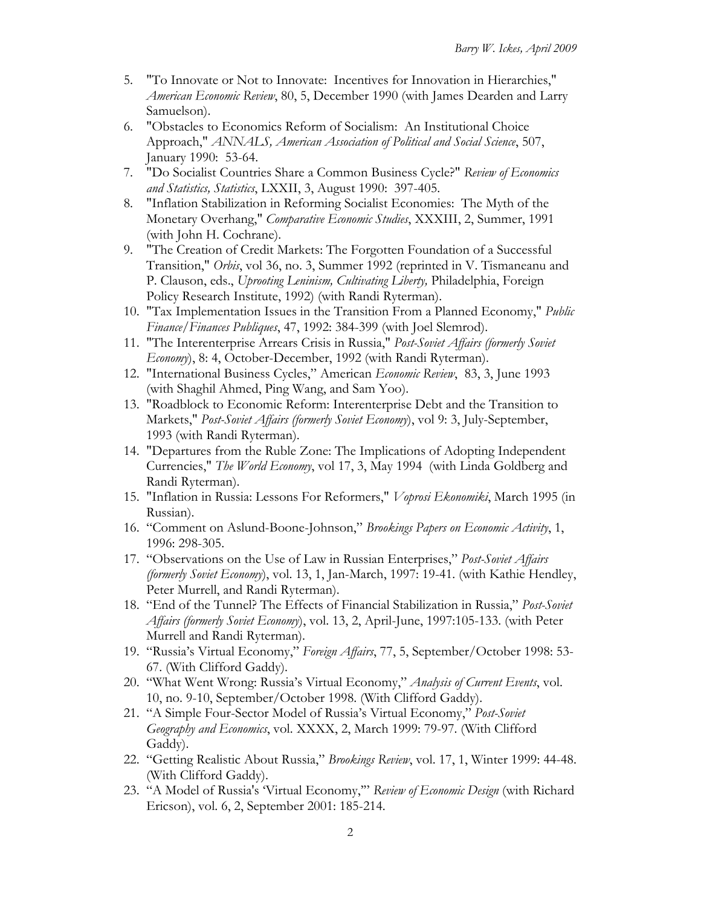- 5. "To Innovate or Not to Innovate: Incentives for Innovation in Hierarchies," *American Economic Review*, 80, 5, December 1990 (with James Dearden and Larry Samuelson).
- 6. "Obstacles to Economics Reform of Socialism: An Institutional Choice Approach," *ANNALS, American Association of Political and Social Science*, 507, January 1990: 53-64.
- 7. "Do Socialist Countries Share a Common Business Cycle?" *Review of Economics and Statistics, Statistics*, LXXII, 3, August 1990: 397-405.
- 8. "Inflation Stabilization in Reforming Socialist Economies: The Myth of the Monetary Overhang," *Comparative Economic Studies*, XXXIII, 2, Summer, 1991 (with John H. Cochrane).
- 9. "The Creation of Credit Markets: The Forgotten Foundation of a Successful Transition," *Orbis*, vol 36, no. 3, Summer 1992 (reprinted in V. Tismaneanu and P. Clauson, eds., *Uprooting Leninism, Cultivating Liberty,* Philadelphia, Foreign Policy Research Institute, 1992) (with Randi Ryterman).
- 10. "Tax Implementation Issues in the Transition From a Planned Economy," *Public Finance/Finances Publiques*, 47, 1992: 384-399 (with Joel Slemrod).
- 11. "The Interenterprise Arrears Crisis in Russia," *Post-Soviet Affairs (formerly Soviet Economy*), 8: 4, October-December, 1992 (with Randi Ryterman).
- 12. "International Business Cycles," American *Economic Review*, 83, 3, June 1993 (with Shaghil Ahmed, Ping Wang, and Sam Yoo).
- 13. "Roadblock to Economic Reform: Interenterprise Debt and the Transition to Markets," *Post-Soviet Affairs (formerly Soviet Economy*), vol 9: 3, July-September, 1993 (with Randi Ryterman).
- 14. "Departures from the Ruble Zone: The Implications of Adopting Independent Currencies," *The World Economy*, vol 17, 3, May 1994 (with Linda Goldberg and Randi Ryterman).
- 15. "Inflation in Russia: Lessons For Reformers," *Voprosi Ekonomiki*, March 1995 (in Russian).
- 16. "Comment on Aslund-Boone-Johnson," *Brookings Papers on Economic Activity*, 1, 1996: 298-305.
- 17. "Observations on the Use of Law in Russian Enterprises," *Post-Soviet Affairs (formerly Soviet Economy*), vol. 13, 1, Jan-March, 1997: 19-41. (with Kathie Hendley, Peter Murrell, and Randi Ryterman).
- 18. "End of the Tunnel? The Effects of Financial Stabilization in Russia," *Post-Soviet Affairs (formerly Soviet Economy*), vol. 13, 2, April-June, 1997:105-133. (with Peter Murrell and Randi Ryterman).
- 19. "Russia's Virtual Economy," *Foreign Affairs*, 77, 5, September/October 1998: 53- 67. (With Clifford Gaddy).
- 20. "What Went Wrong: Russia's Virtual Economy," *Analysis of Current Events*, vol. 10, no. 9-10, September/October 1998. (With Clifford Gaddy).
- 21. "A Simple Four-Sector Model of Russia's Virtual Economy," *Post-Soviet Geography and Economics*, vol. XXXX, 2, March 1999: 79-97. (With Clifford Gaddy).
- 22. "Getting Realistic About Russia," *Brookings Review*, vol. 17, 1, Winter 1999: 44-48. (With Clifford Gaddy).
- 23. "A Model of Russia's 'Virtual Economy,'" *Review of Economic Design* (with Richard Ericson), vol. 6, 2, September 2001: 185-214.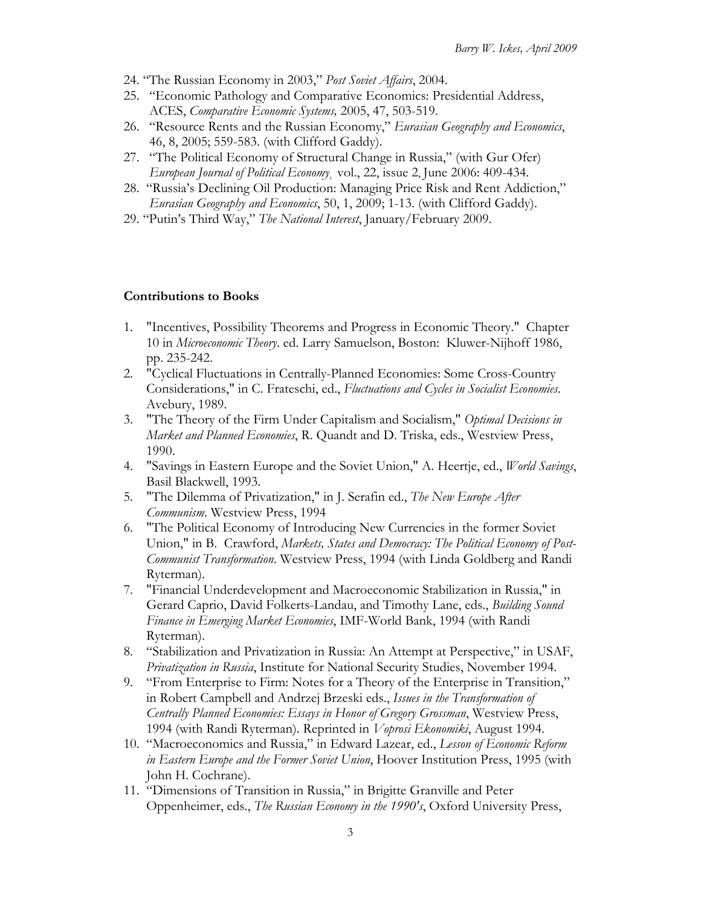- 24. "The Russian Economy in 2003," *Post Soviet Affairs*, 2004.
- 25. "Economic Pathology and Comparative Economics: Presidential Address, ACES, *Comparative Economic Systems,* 2005, 47, 503-519.
- 26. "Resource Rents and the Russian Economy," *Eurasian Geography and Economics*, 46, 8, 2005; 559-583. (with Clifford Gaddy).
- 27. "The Political Economy of Structural Change in Russia," (with Gur Ofer) *European Journal of Political Economy¸* vol., 22, issue 2, June 2006: 409-434.
- 28. "Russia's Declining Oil Production: Managing Price Risk and Rent Addiction," *Eurasian Geography and Economics*, 50, 1, 2009; 1-13. (with Clifford Gaddy).
- 29. "Putin's Third Way," *The National Interest*, January/February 2009.

#### **Contributions to Books**

- 1. "Incentives, Possibility Theorems and Progress in Economic Theory." Chapter 10 in *Microeconomic Theory*. ed. Larry Samuelson, Boston: Kluwer-Nijhoff 1986, pp. 235-242.
- 2. "Cyclical Fluctuations in Centrally-Planned Economies: Some Cross-Country Considerations," in C. Frateschi, ed., *Fluctuations and Cycles in Socialist Economies*. Avebury, 1989.
- 3. "The Theory of the Firm Under Capitalism and Socialism," *Optimal Decisions in Market and Planned Economies*, R. Quandt and D. Triska, eds., Westview Press, 1990.
- 4. "Savings in Eastern Europe and the Soviet Union," A. Heertje, ed., *World Savings*, Basil Blackwell, 1993.
- 5. "The Dilemma of Privatization," in J. Serafin ed., *The New Europe After Communism*. Westview Press, 1994
- 6. "The Political Economy of Introducing New Currencies in the former Soviet Union," in B. Crawford, *Markets, States and Democracy: The Political Economy of Post-Communist Transformation*. Westview Press, 1994 (with Linda Goldberg and Randi Ryterman).
- 7. "Financial Underdevelopment and Macroeconomic Stabilization in Russia," in Gerard Caprio, David Folkerts-Landau, and Timothy Lane, eds., *Building Sound Finance in Emerging Market Economies*, IMF-World Bank, 1994 (with Randi Ryterman).
- 8. "Stabilization and Privatization in Russia: An Attempt at Perspective," in USAF, *Privatization in Russia*, Institute for National Security Studies, November 1994.
- 9. "From Enterprise to Firm: Notes for a Theory of the Enterprise in Transition," in Robert Campbell and Andrzej Brzeski eds., *Issues in the Transformation of Centrally Planned Economies: Essays in Honor of Gregory Grossman*, Westview Press, 1994 (with Randi Ryterman). Reprinted in *Voprosi Ekonomiki*, August 1994.
- 10. "Macroeconomics and Russia," in Edward Lazear, ed., *Lesson of Economic Reform in Eastern Europe and the Former Soviet Union*, Hoover Institution Press, 1995 (with John H. Cochrane).
- 11. "Dimensions of Transition in Russia," in Brigitte Granville and Peter Oppenheimer, eds., *The Russian Economy in the 1990's*, Oxford University Press,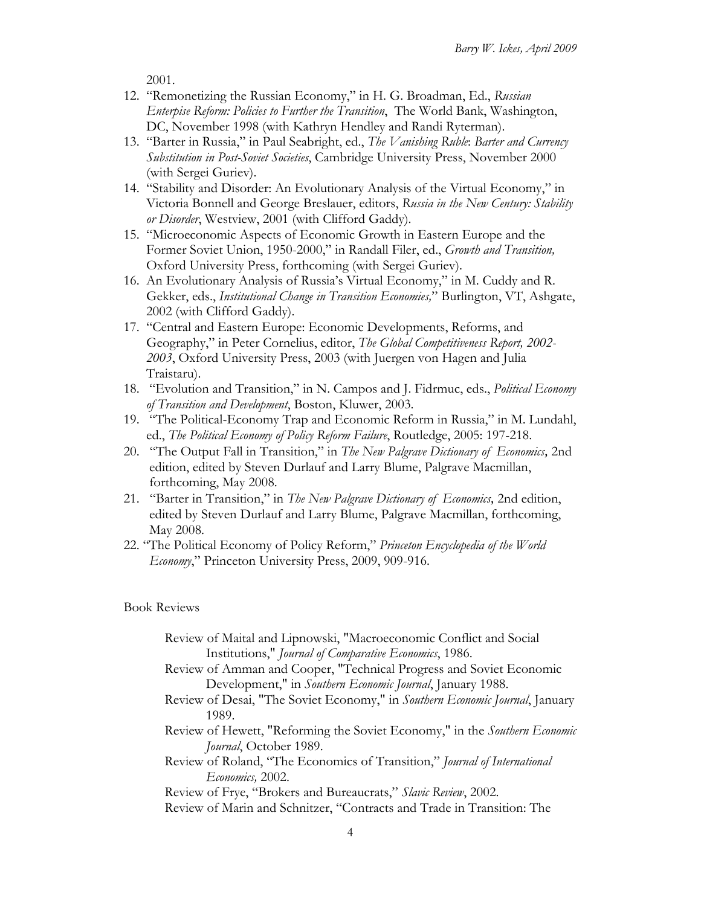2001.

- 12. "Remonetizing the Russian Economy," in H. G. Broadman, Ed., *Russian Enterpise Reform: Policies to Further the Transition*, The World Bank, Washington, DC, November 1998 (with Kathryn Hendley and Randi Ryterman).
- 13. "Barter in Russia," in Paul Seabright, ed., *The Vanishing Ruble*: *Barter and Currency Substitution in Post-Soviet Societies*, Cambridge University Press, November 2000 (with Sergei Guriev).
- 14. "Stability and Disorder: An Evolutionary Analysis of the Virtual Economy," in Victoria Bonnell and George Breslauer, editors, *Russia in the New Century: Stability or Disorder*, Westview, 2001 (with Clifford Gaddy).
- 15. "Microeconomic Aspects of Economic Growth in Eastern Europe and the Former Soviet Union, 1950-2000," in Randall Filer, ed., *Growth and Transition,*  Oxford University Press, forthcoming (with Sergei Guriev).
- 16. An Evolutionary Analysis of Russia's Virtual Economy," in M. Cuddy and R. Gekker, eds., *Institutional Change in Transition Economies,*" Burlington, VT, Ashgate, 2002 (with Clifford Gaddy).
- 17. "Central and Eastern Europe: Economic Developments, Reforms, and Geography," in Peter Cornelius, editor, *The Global Competitiveness Report, 2002- 2003*, Oxford University Press, 2003 (with Juergen von Hagen and Julia Traistaru).
- 18. "Evolution and Transition," in N. Campos and J. Fidrmuc, eds., *Political Economy of Transition and Development*, Boston, Kluwer, 2003.
- 19. "The Political-Economy Trap and Economic Reform in Russia," in M. Lundahl, ed., *The Political Economy of Policy Reform Failure*, Routledge, 2005: 197-218.
- 20. "The Output Fall in Transition," in *The New Palgrave Dictionary of Economics,* 2nd edition, edited by Steven Durlauf and Larry Blume, Palgrave Macmillan, forthcoming, May 2008.
- 21. "Barter in Transition," in *The New Palgrave Dictionary of Economics,* 2nd edition, edited by Steven Durlauf and Larry Blume, Palgrave Macmillan, forthcoming, May 2008.
- 22. "The Political Economy of Policy Reform," *Princeton Encyclopedia of the World Economy*," Princeton University Press, 2009, 909-916.

#### Book Reviews

| Review of Maital and Lipnowski, "Macroeconomic Conflict and Social           |
|------------------------------------------------------------------------------|
| Institutions," Journal of Comparative Economics, 1986.                       |
| Review of Amman and Cooper, "Technical Progress and Soviet Economic          |
| Development," in Southern Economic Journal, January 1988.                    |
| Review of Desai, "The Soviet Economy," in Southern Economic Journal, January |
| 1989.                                                                        |
| Review of Hewett, "Reforming the Soviet Economy," in the Southern Economic   |
| Journal, October 1989.                                                       |
| Review of Roland, "The Economics of Transition," Journal of International    |
| Economics, 2002.                                                             |
| Review of Frye, "Brokers and Bureaucrats," Slavic Review, 2002.              |
| Review of Marin and Schnitzer, "Contracts and Trade in Transition: The       |
|                                                                              |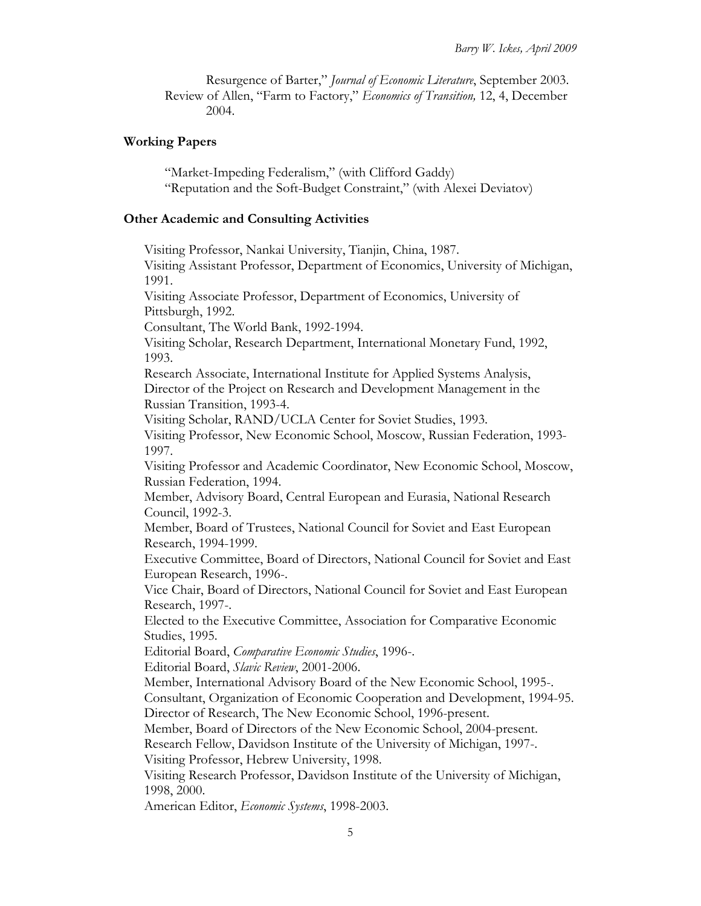Resurgence of Barter," *Journal of Economic Literature*, September 2003. Review of Allen, "Farm to Factory," *Economics of Transition,* 12, 4, December 2004.

#### **Working Papers**

 "Market-Impeding Federalism," (with Clifford Gaddy) "Reputation and the Soft-Budget Constraint," (with Alexei Deviatov)

#### **Other Academic and Consulting Activities**

Visiting Professor, Nankai University, Tianjin, China, 1987. Visiting Assistant Professor, Department of Economics, University of Michigan, 1991. Visiting Associate Professor, Department of Economics, University of Pittsburgh, 1992. Consultant, The World Bank, 1992-1994. Visiting Scholar, Research Department, International Monetary Fund, 1992, 1993. Research Associate, International Institute for Applied Systems Analysis, Director of the Project on Research and Development Management in the Russian Transition, 1993-4. Visiting Scholar, RAND/UCLA Center for Soviet Studies, 1993. Visiting Professor, New Economic School, Moscow, Russian Federation, 1993- 1997. Visiting Professor and Academic Coordinator, New Economic School, Moscow, Russian Federation, 1994. Member, Advisory Board, Central European and Eurasia, National Research Council, 1992-3. Member, Board of Trustees, National Council for Soviet and East European Research, 1994-1999. Executive Committee, Board of Directors, National Council for Soviet and East European Research, 1996-. Vice Chair, Board of Directors, National Council for Soviet and East European Research, 1997-. Elected to the Executive Committee, Association for Comparative Economic Studies, 1995. Editorial Board, *Comparative Economic Studies*, 1996-. Editorial Board, *Slavic Review*, 2001-2006. Member, International Advisory Board of the New Economic School, 1995-. Consultant, Organization of Economic Cooperation and Development, 1994-95. Director of Research, The New Economic School, 1996-present. Member, Board of Directors of the New Economic School, 2004-present. Research Fellow, Davidson Institute of the University of Michigan, 1997-. Visiting Professor, Hebrew University, 1998. Visiting Research Professor, Davidson Institute of the University of Michigan, 1998, 2000. American Editor, *Economic Systems*, 1998-2003.